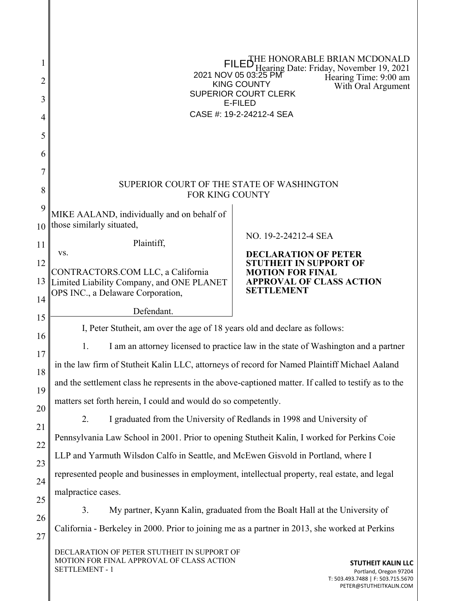| 1              | HONORABLE BRIAN MCDONALD<br>Jearing Date: Friday, November 19, 2021<br>GEGFAPUXAEI AEHGIAJT                                              |                                                      |  |  |  |
|----------------|------------------------------------------------------------------------------------------------------------------------------------------|------------------------------------------------------|--|--|--|
| $\overline{2}$ | Hearing Time: 9:00 am<br>SO⊵ÕÁÔUWÞVŸ<br>With Oral Argument                                                                               |                                                      |  |  |  |
| 3              | ÙWÚÒÜQUÜÁÔUWÜVÁÔŠÒÜS<br>ÒËZSIÒÖ                                                                                                          |                                                      |  |  |  |
| 4              | ÔŒLÌÒÁN ÁFJËÐËGI GFGËI Á JÒŒ                                                                                                             |                                                      |  |  |  |
| 5              |                                                                                                                                          |                                                      |  |  |  |
| 6              |                                                                                                                                          |                                                      |  |  |  |
| 7              |                                                                                                                                          |                                                      |  |  |  |
| 8              | SUPERIOR COURT OF THE STATE OF WASHINGTON<br>FOR KING COUNTY                                                                             |                                                      |  |  |  |
| 9              | MIKE AALAND, individually and on behalf of                                                                                               |                                                      |  |  |  |
| 10             | those similarly situated,                                                                                                                | NO. 19-2-24212-4 SEA                                 |  |  |  |
| 11             | Plaintiff,<br>VS.                                                                                                                        | <b>DECLARATION OF PETER</b>                          |  |  |  |
| 12             | CONTRACTORS.COM LLC, a California                                                                                                        | TUTHEIT IN SUPPORT OF<br><b>MOTION FOR FINAL</b>     |  |  |  |
| 13             | Limited Liability Company, and ONE PLANET                                                                                                | <b>APPROVAL OF CLASS ACTION</b><br><b>SETTLEMENT</b> |  |  |  |
| 14             | OPS INC., a Delaware Corporation,                                                                                                        |                                                      |  |  |  |
| 15             | Defendant.                                                                                                                               |                                                      |  |  |  |
| 16             | I, Peter Stutheit, am over the age of 18 years old and declare as follows:                                                               |                                                      |  |  |  |
| 17             | 1.<br>I am an attorney licensed to practice law in the state of Washington and a partner                                                 |                                                      |  |  |  |
| 18             | in the law firm of Stutheit Kalin LLC, attorneys of record for Named Plaintiff Michael Aaland                                            |                                                      |  |  |  |
| 19             | and the settlement class he represents in the above-captioned matter. If called to testify as to the                                     |                                                      |  |  |  |
| 20             | matters set forth herein, I could and would do so competently.                                                                           |                                                      |  |  |  |
| 21             | I graduated from the University of Redlands in 1998 and University of<br>2.                                                              |                                                      |  |  |  |
| 22             | Pennsylvania Law School in 2001. Prior to opening Stutheit Kalin, I worked for Perkins Coie                                              |                                                      |  |  |  |
| 23             | LLP and Yarmuth Wilsdon Calfo in Seattle, and McEwen Gisvold in Portland, where I                                                        |                                                      |  |  |  |
| 24             | represented people and businesses in employment, intellectual property, real estate, and legal                                           |                                                      |  |  |  |
| 25             | malpractice cases.                                                                                                                       |                                                      |  |  |  |
| 26             | My partner, Kyann Kalin, graduated from the Boalt Hall at the University of<br>3.                                                        |                                                      |  |  |  |
| 27             | California - Berkeley in 2000. Prior to joining me as a partner in 2013, she worked at Perkins                                           |                                                      |  |  |  |
|                | DECLARATION OF PETER STUTHEIT IN SUPPORT OF<br>MOTION FOR FINAL APPROVAL OF CLASS ACTION<br>STUTHEIT KALIN LLC<br><b>SETTI EMENT _ 1</b> |                                                      |  |  |  |

SETTLEMENT - 1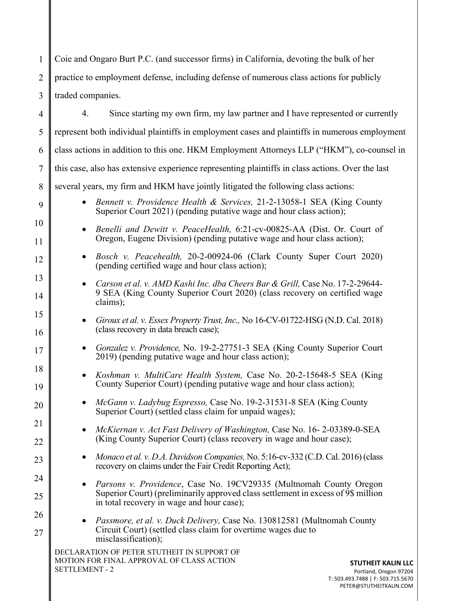DECLARATION OF PETER STUTHEIT IN SUPPORT OF MOTION FOR FINAL APPROVAL OF CLASS ACTION SETTLEMENT - 2 1 2 3 4 5 6 7 8 9 10 11 12 13 14 15 16 17 18 19 20 21 22 23 24 25 26 27 **STUTHEIT KALIN LLC** Coie and Ongaro Burt P.C. (and successor firms) in California, devoting the bulk of her practice to employment defense, including defense of numerous class actions for publicly traded companies. 4. Since starting my own firm, my law partner and I have represented or currently represent both individual plaintiffs in employment cases and plaintiffs in numerous employment class actions in addition to this one. HKM Employment Attorneys LLP ("HKM"), co-counsel in this case, also has extensive experience representing plaintiffs in class actions. Over the last several years, my firm and HKM have jointly litigated the following class actions: *Bennett v. Providence Health & Services,* 21-2-13058-1 SEA (King County Superior Court 2021) (pending putative wage and hour class action); *Benelli and Dewitt v. PeaceHealth,* 6:21-cv-00825-AA (Dist. Or. Court of Oregon, Eugene Division) (pending putative wage and hour class action); *Bosch v. Peacehealth,* 20-2-00924-06 (Clark County Super Court 2020) (pending certified wage and hour class action); *Carson et al. v. AMD Kashi Inc. dba Cheers Bar & Grill,* Case No. 17-2-29644- 9 SEA (King County Superior Court 2020) (class recovery on certified wage claims); *Giroux et al. v. Essex Property Trust, Inc.,* No 16-CV-01722-HSG (N.D. Cal. 2018) (class recovery in data breach case); *Gonzalez v. Providence,* No. 19-2-27751-3 SEA (King County Superior Court 2019) (pending putative wage and hour class action); *Koshman v. MultiCare Health System,* Case No. 20-2-15648-5 SEA (King County Superior Court) (pending putative wage and hour class action); *McGann v. Ladybug Espresso,* Case No. 19-2-31531-8 SEA (King County Superior Court) (settled class claim for unpaid wages); *McKiernan v. Act Fast Delivery of Washington,* Case No. 16- 2-03389-0-SEA (King County Superior Court) (class recovery in wage and hour case); *Monaco et al. v. D.A. Davidson Companies,* No. 5:16-cv-332 (C.D. Cal. 2016) (class recovery on claims under the Fair Credit Reporting Act); *Parsons v. Providence*, Case No. 19CV29335 (Multnomah County Oregon Superior Court) (preliminarily approved class settlement in excess of 9\$ million in total recovery in wage and hour case); *Passmore, et al. v. Duck Delivery,* Case No. 130812581 (Multnomah County Circuit Court) (settled class claim for overtime wages due to misclassification);

Portland, Oregon 97204 T: 503.493.7488 | F: 503.715.5670 PETER@STUTHEITKALIN.COM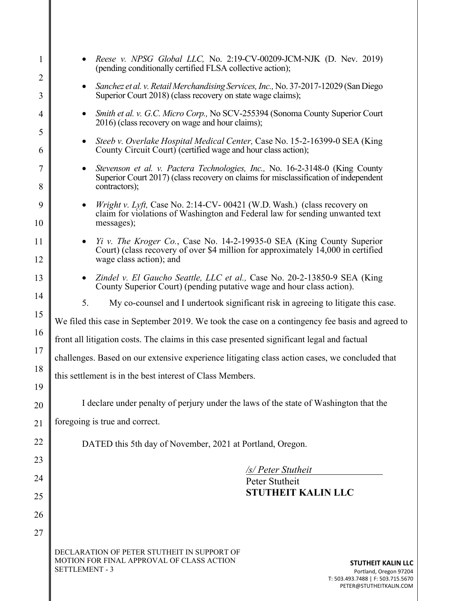| 1                   | Reese v. NPSG Global LLC, No. 2:19-CV-00209-JCM-NJK (D. Nev. 2019)<br>(pending conditionally certified FLSA collective action);                                                                               |  |  |  |
|---------------------|---------------------------------------------------------------------------------------------------------------------------------------------------------------------------------------------------------------|--|--|--|
| $\overline{2}$<br>3 | Sanchez et al. v. Retail Merchandising Services, Inc., No. 37-2017-12029 (San Diego<br>$\bullet$<br>Superior Court 2018) (class recovery on state wage claims);                                               |  |  |  |
| 4                   | Smith et al. v. G.C. Micro Corp., No SCV-255394 (Sonoma County Superior Court<br>$\bullet$                                                                                                                    |  |  |  |
| 5                   | 2016) (class recovery on wage and hour claims);                                                                                                                                                               |  |  |  |
| 6                   | Steeb v. Overlake Hospital Medical Center, Case No. 15-2-16399-0 SEA (King<br>$\bullet$<br>County Circuit Court) (certified wage and hour class action);                                                      |  |  |  |
| 7<br>8              | Stevenson et al. v. Pactera Technologies, Inc., No. 16-2-3148-0 (King County<br>$\bullet$<br>Superior Court 2017) (class recovery on claims for misclassification of independent<br>contractors);             |  |  |  |
| 9                   | Wright v. Lyft, Case No. 2:14-CV-00421 (W.D. Wash.) (class recovery on<br>claim for violations of Washington and Federal law for sending unwanted text                                                        |  |  |  |
| 10                  | messages);                                                                                                                                                                                                    |  |  |  |
| 11                  | <i>Yi v. The Kroger Co.</i> , Case No. 14-2-19935-0 SEA (King County Superior<br>Court) (class recovery of over \$4 million for approximately 14,000 in certified                                             |  |  |  |
| 12                  | wage class action); and                                                                                                                                                                                       |  |  |  |
| 13                  | Zindel v. El Gaucho Seattle, LLC et al., Case No. 20-2-13850-9 SEA (King<br>$\bullet$<br>County Superior Court) (pending putative wage and hour class action).                                                |  |  |  |
| 14                  | 5.<br>My co-counsel and I undertook significant risk in agreeing to litigate this case.                                                                                                                       |  |  |  |
| 15                  | We filed this case in September 2019. We took the case on a contingency fee basis and agreed to                                                                                                               |  |  |  |
| 16                  | front all litigation costs. The claims in this case presented significant legal and factual                                                                                                                   |  |  |  |
| 17                  | challenges. Based on our extensive experience litigating class action cases, we concluded that                                                                                                                |  |  |  |
| 18<br>19            | this settlement is in the best interest of Class Members.                                                                                                                                                     |  |  |  |
| 20                  | I declare under penalty of perjury under the laws of the state of Washington that the                                                                                                                         |  |  |  |
| 21                  | foregoing is true and correct.                                                                                                                                                                                |  |  |  |
| 22                  |                                                                                                                                                                                                               |  |  |  |
| 23                  | DATED this 5th day of November, 2021 at Portland, Oregon.                                                                                                                                                     |  |  |  |
| 24                  | /s/ Peter Stutheit<br>Peter Stutheit                                                                                                                                                                          |  |  |  |
| 25                  | <b>STUTHEIT KALIN LLC</b>                                                                                                                                                                                     |  |  |  |
| 26                  |                                                                                                                                                                                                               |  |  |  |
| 27                  |                                                                                                                                                                                                               |  |  |  |
|                     | DECLARATION OF PETER STUTHEIT IN SUPPORT OF<br>MOTION FOR FINAL APPROVAL OF CLASS ACTION<br><b>STUTHEIT KALIN LLC</b><br><b>SETTLEMENT - 3</b><br>Portland, Oregon 97204<br>T: 503.493.7488   F: 503.715.5670 |  |  |  |

PETER@STUTHEITKALIN.COM